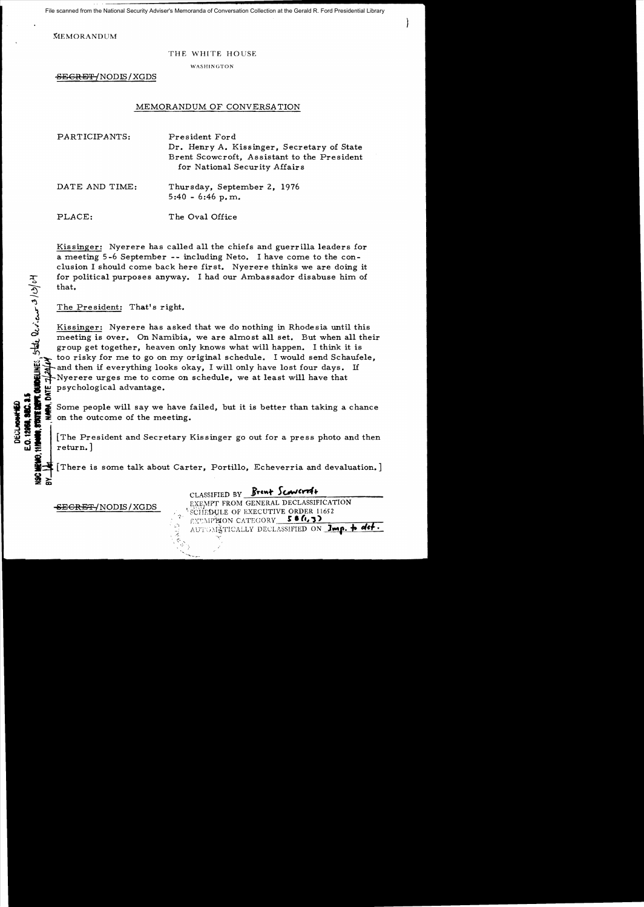File scanned from the National Security Adviser's Memoranda of Conversation Collection at the Gerald R. Ford Presidential Library

**MEMORANDUM** 

## THE WHITE HOUSE

WASHINGTON

SEGRET/NODIS/XGDS

## MEMORANDUM OF CONVERSA TION

| PARTICIPANTS:  | President Ford<br>Dr. Henry A. Kissinger, Secretary of State<br>Brent Scowcroft, Assistant to the President<br>for National Security Affairs |
|----------------|----------------------------------------------------------------------------------------------------------------------------------------------|
| DATE AND TIME: | Thursday, September 2, 1976<br>$5:40 - 6:46 p.m.$                                                                                            |
| PLACE:         | The Oval Office                                                                                                                              |

Kissinger: Nyerere has called all the chiefs and guerrilla leaders for a meeting 5 -6 September - - including Neto. I have come to the conclusion I should come back here first. Nyerere thinks we are doing it for political purposes anyway. I had our Ambassador disabuse him of that.  $\sum_{i=1}^{\infty}$  that.

The President: That's right.

 $\mathcal{L}_{\mathcal{L}}$ 

Kissinger: Nyerere has asked that we do nothing in Rhodesia until this meeting is over. On Namibia, we are almost all set. But when all their group get together, heaven only knows what will happen. I think it is too risky for me to go on my original schedule. I would send Schaufele, and then if everything looks okay, I will only have lost four days. Nyerere urges me to come on schedule, we at least will have that  $\ddot{\bullet}$  psychological advantage.

**Example 12**<br> **IF Some people will say we have free that the Some people will say we have free ting.**<br> **IF SOME AND SOME THE PERIMENT OF SAMPLE AND SERVE THE PERIMENT OF SAMPLE PERIMENT OF SAMPLE PERIMENT OF SAMPLE PERIMEN** Some people will say we have failed, but it is better than taking a chance

The President and Secretary Kissinger go out for a press photo and then  $return.$ ]

[There is some talk about Carter, Portillo, Echeverria and devaluation.] ~~

CLASSIFIED BY **Brent Scavertit EXEMPT FROM GENERAL DECLASSIFICATION**<br>EXEMPT FROM GENERAL DECLASSIFICATION<br>EXEMPTION CATEGORY 5 0.3 EXEMPHON CATEGORY AUTOMÄTICALLY DECLASSIFIED ON **Jmp.** *† d***et.**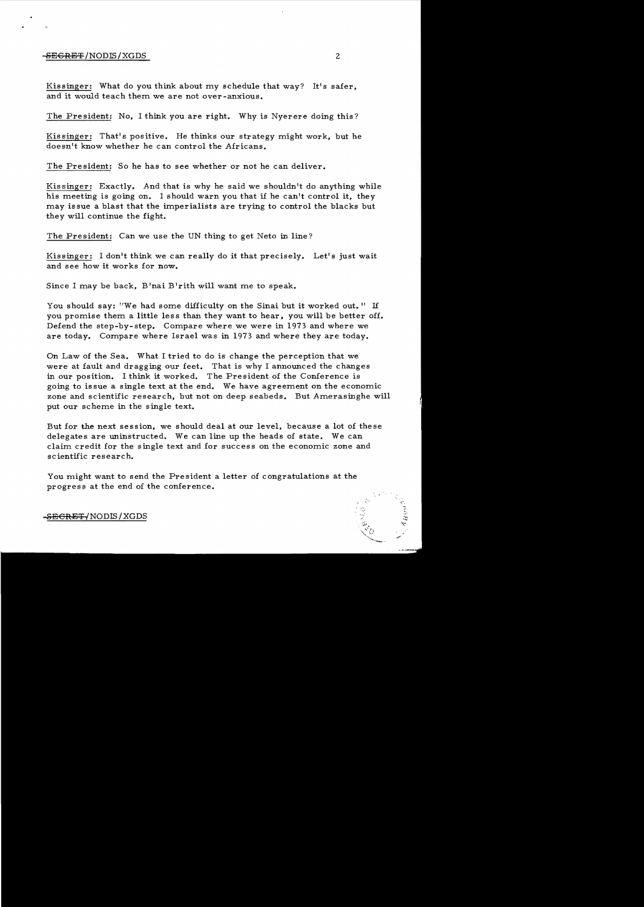## $-$ <del>SECRET</del>/NODIS/XGDS 2

Kissinger: What do you think about my schedule that way? It's safer, and it would teach them we are not over-anxious.

The President: No, I think you are right. Why is Nyerere doing this?

Kissinger: That's positive. He thinks our strategy might work, but he doesn't know whether he can control the Africans.

The President: So he has to see whether or not he can deliver.

Kissinger: Exactly. And that is why he said we shouldn't do anything while his meeting is going on. I should warn you that if he can't control it, they may is sue a blast that the imperialists are trying to control the blacks but they will continue the fight.

The President: Can we use the UN thing to get Neto in line?

Kissinger: I don't think we can really do it that precisely. Let's just wait and see how it works for now.

Since I may be back, B'nai B'rith will want me to speak.

You should say: "We had some difficulty on the Sinai but it worked out." If you promise them a little less than they want to hear, you will be better off. Defend the step-by-step. Compare where we were in 1973 and where we are today. Compare where Israel was in 1973 and where they are today.

On Law of the Sea. What I tried to do is change the perception that we were at fault and dragging our feet. That is why I announced the changes in our position. I think it worked. The President of the Conference is going to issue a single text at the end. We have agreement on the economic zone and scientific research, but not on deep seabeds. But Amerasinghe will put our scheme in the single text.

But for the next session, we should deal at our level, because a lot of these delegates are uninstructed. We can line up the heads of state. We can claim credit for the single text and for success on the economic zone and scientific research.

You might want to send the President a letter of congratulations at the progress at the end of the conference.

,'. .. "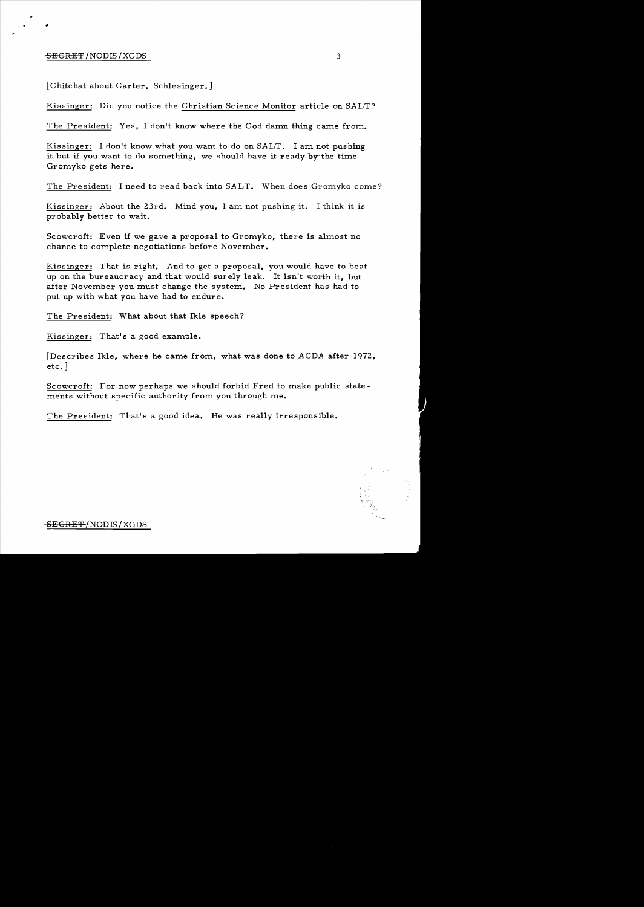## <del>SECRET</del> /NODIS / XGDS 3

[Chitchat about Carter, Schlesinger.]

Kissinger: Did you notice the Christian Science Monitor article on SALT?

The President: Yes, I don't know where the God damn thing came from.

Kissinger: I don't know what you want to do on SALT. I am not pushing it but if you want to do something, we should have it ready by-the time Gromyko gets here.

The President: I need to read back into SALT. When does Gromyko come?

Kissinger: About the 23rd. Mind you, I am not pushing it. I think it is probably better to wait.

Scowcroft: Even if we gave a proposal to Gromyko, there is almost no chance to complete negotiations before November.

Kissinger: That is right. And to get a proposal, you would have to beat up on the bureaucracy and that would surely leak. It isn't worth it, but after November you must change the system. No President has had to put up with what you have had to endure.

The President: What about that Ikle speech?

Kissinger: That's a good example.

[Describes Ikle, where he carne from, what was done to *ACDA* after 1972, etc. ]

Scowcroft: For now perhaps we should forbid Fred to make public statements without specific authority from you through me.

The President: That's a good idea. He was really irresponsible.



SECRET /NODLS /XGDS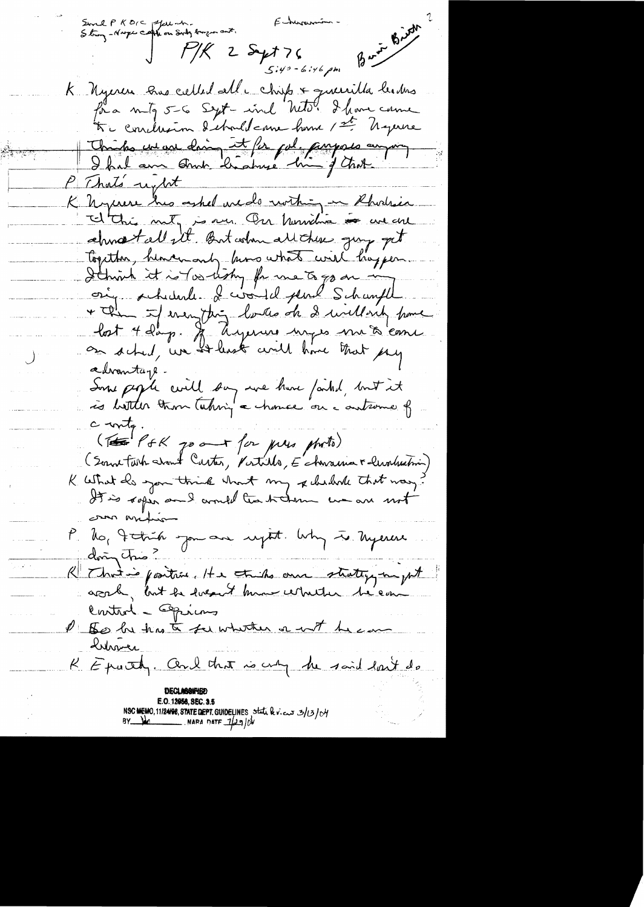Burn Bright Sime P K DIC offer when  $\not\in$ bureum  $P/K$  2 Sept 76  $5:49 - 6:46$  pm K Nyeren Que cielled all chips & querilla leaders De conclusion d'ebailedance home / me Myerne Thisks we are doing it for pul. purposes augusy P That's upport K hymne his askel wede within in Rhodrin I this mity is over Our Nurvilina is we can ahmentall it But when all these ging get Together, him comonly know what will happen. Ithink it is for listy for me to go on in + the I everything looks of I willoch home<br>lost 4 days: J ayeruse myes me to come<br>on sched, we at least will have that pay advantage. Some people will say we have faithed, but it is botter than taking a chance on a autrone of c write. (TE PFK poort for pres photo) (Sount Faith about Carter, Virtillo, Echaración Felioduation) K What do you think what my published that way?  $\frac{1}{2}$  ,  $\frac{1}{2}$ com mit P. Ro, Fetrin Jon au reptit. Why is hyerene doing this? R That is positive. He this own strategy myst Control - Opins P Bo he has to for whether or with he can Kelverer K Eposty. Cerel that is cry be said lost do E.O. 12958, SEC. 3.5 NSC MEMO, 11/24/98, STATE DEPT. GUIDELINES State R v. c  $3/13/04$ <br>BY Well Manuson NARA DATE  $1/29/04$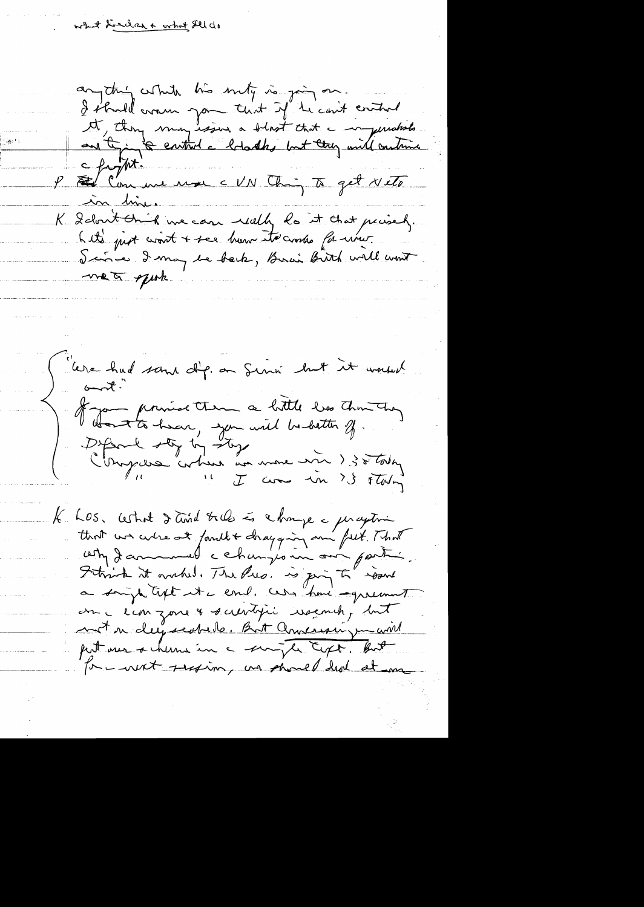what Liedar & what Ill do

anything which his mity is join on. I should ever you that if he can't created<br>It, then may issue a bloot that a mycrichate<br>and tying southed a blood by but they will entries<br>of the commence we will thing to get that in lime. Lebrit Chich me can réally la it that prisely.<br>Let's just coint + see homme it contre fa-nour.<br>Saince I may be beck, Busin Birth will wont met spok

lere had sant dip on Sinn but it worsen  $6.32$ I Jan primer them a bitte les things Defeared stop by stop Chapiere abres un more mi des today

LOS. What I till till & change a jurgetion that we were at formet t change in ann fit. That Strick it worked. The Pres. is join to issue ame canzone & sacritique warmuch, but met n derpreche les Bot Americans und put mer a chemi in a surje type. But for - west session, an showed had at me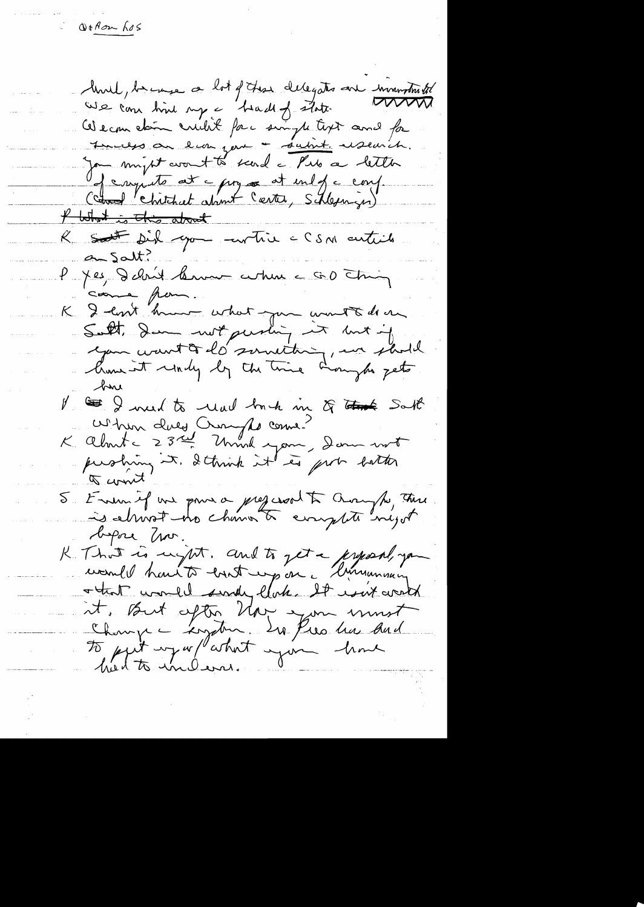Orton Los

Mul, beinge a lot of the delegates are immobilité WWW We can him my a head of state Al econ doin crueil force single toxt and for sureles ou loin jou - suivit useaich.<br>Jan mijst avant to scarl a Pub a letter Je reputé at a poyer et end de cons <del>P lethat is this about</del> K Soft fish you entire CSM entire an Salt? P Jes, Debrit leurne certain c 50 ching. K Dent hum what par antôle en Sult, Dem not pushing in met if how it rendy by the time damphs gets bru V S I wed to read borch in & that South When dues Croups come?<br>K About = 23rd Unich your donner mot trin to 5 Evenil pour pour a préjerant aux parfs tiens before hor. K That is night. And to get a present you it, But after Mar som must